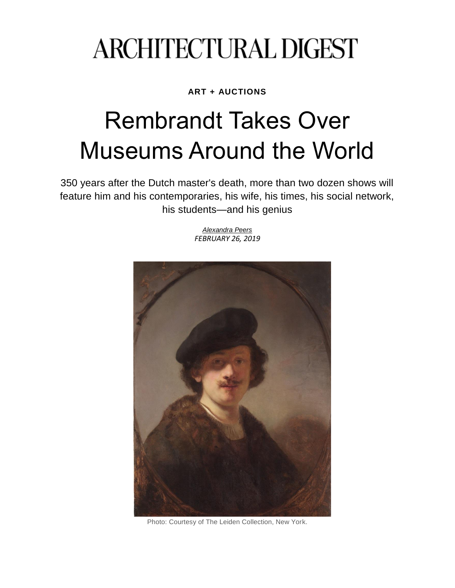## **ARCHITECTURAL DIGEST**

**ART + AUCTIONS**

## Rembrandt Takes Over Museums Around the World

350 years after the Dutch master's death, more than two dozen shows will feature him and his contemporaries, his wife, his times, his social network, his students—and his genius

> *[Alexandra](https://www.architecturaldigest.com/contributor/alexandra-peers?intcid=inline_amp) Peers FEBRUARY 26, 2019*



Photo: Courtesy of The Leiden Collection, New York.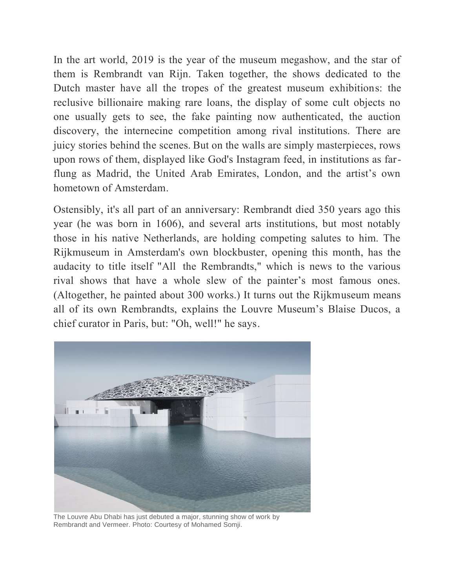In the art world, 2019 is the year of the museum megashow, and the star of them is Rembrandt van Rijn. Taken together, the shows dedicated to the Dutch master have all the tropes of the greatest museum exhibitions: the reclusive billionaire making rare loans, the display of some cult objects no one usually gets to see, the fake painting now authenticated, the auction discovery, the internecine competition among rival institutions. There are juicy stories behind the scenes. But on the walls are simply masterpieces, rows upon rows of them, displayed like God's Instagram feed, in institutions as farflung as Madrid, the United Arab Emirates, London, and the artist's own hometown of Amsterdam.

Ostensibly, it's all part of an anniversary: Rembrandt died 350 years ago this year (he was born in 1606), and several arts institutions, but most notably those in his native Netherlands, are holding competing salutes to him. The Rijkmuseum in Amsterdam's own blockbuster, opening this month, has the audacity to title itself "All  the Rembrandts," which is news to the various rival shows that have a whole slew of the painter's most famous ones. (Altogether, he painted about 300 works.) It turns out the Rijkmuseum means all of its own Rembrandts, explains the Louvre Museum's Blaise Ducos, a chief curator in Paris, but: "Oh, well!" he says.



The Louvre Abu Dhabi has just debuted a major, stunning show of work by Rembrandt and Vermeer. Photo: Courtesy of Mohamed Somji.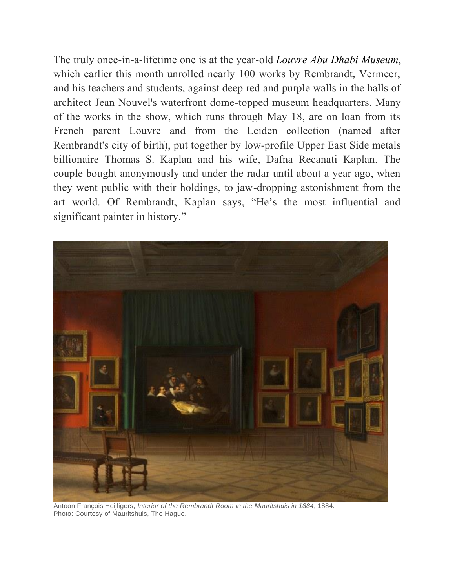The truly once-in-a-lifetime one is at the year-old *Louvre Abu Dhabi [Museum](https://www.architecturaldigest.com/story/jean-nouvel-louvre-abu-dhabi?intcid=inline_amp)*, which earlier this month unrolled nearly 100 works by Rembrandt, Vermeer, and his teachers and students, against deep red and purple walls in the halls of architect Jean Nouvel's waterfront dome-topped museum headquarters. Many of the works in the show, which runs through May 18, are on loan from its French parent Louvre and from the Leiden collection (named after Rembrandt's city of birth), put together by low-profile Upper East Side metals billionaire Thomas S. Kaplan and his wife, Dafna Recanati Kaplan. The couple bought anonymously and under the radar until about a year ago, when they went public with their holdings, to jaw-dropping astonishment from the art world. Of Rembrandt, Kaplan says, "He's the most influential and significant painter in history."



Antoon François Heijligers, *Interior of the Rembrandt Room in the Mauritshuis in 1884*, 1884. Photo: Courtesy of Mauritshuis, The Hague.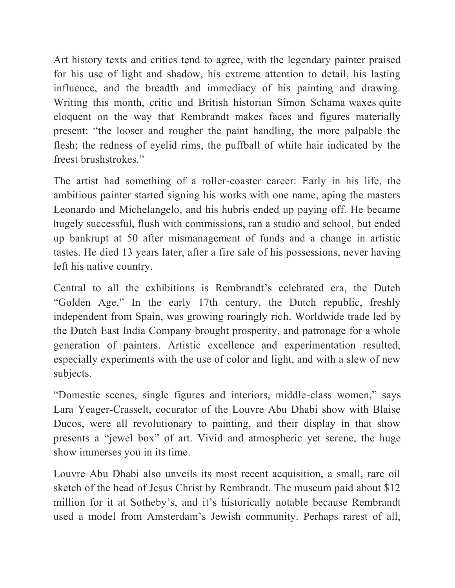Art history texts and critics tend to agree, with the legendary painter praised for his use of light and shadow, his extreme attention to detail, his lasting influence, and the breadth and immediacy of his painting and drawing. Writing this month, critic and British historian Simon Schama [waxes](https://www.theartnewspaper.com/feature/the-year-of-rembrandt-with-simon-schama) quite eloquent on the way that Rembrandt makes faces and figures materially present: "the looser and rougher the paint handling, the more palpable the flesh; the redness of eyelid rims, the puffball of white hair indicated by the freest brushstrokes."

The artist had something of a roller-coaster career: Early in his life, the ambitious painter started signing his works with one name, aping the masters Leonardo and Michelangelo, and his hubris ended up paying off. He became hugely successful, flush with commissions, ran a studio and school, but ended up bankrupt at 50 after mismanagement of funds and a change in artistic tastes. He died 13 years later, after a fire sale of his possessions, never having left his native country.

Central to all the exhibitions is Rembrandt's celebrated era, the Dutch "Golden Age." In the early 17th century, the Dutch republic, freshly independent from Spain, was growing roaringly rich. Worldwide trade led by the Dutch East India Company brought prosperity, and patronage for a whole generation of painters. Artistic excellence and experimentation resulted, especially experiments with the use of color and light, and with a slew of new subjects.

"Domestic scenes, single figures and interiors, middle-class women," says Lara Yeager-Crasselt, cocurator of the Louvre Abu Dhabi show with Blaise Ducos, were all revolutionary to painting, and their display in that show presents a "jewel box" of art. Vivid and atmospheric yet serene, the huge show immerses you in its time.

Louvre Abu Dhabi also unveils its most recent acquisition, a small, rare oil sketch of the head of Jesus Christ by Rembrandt. The museum paid about \$12 million for it at Sotheby's, and it's historically notable because Rembrandt used a model from Amsterdam's Jewish community. Perhaps rarest of all,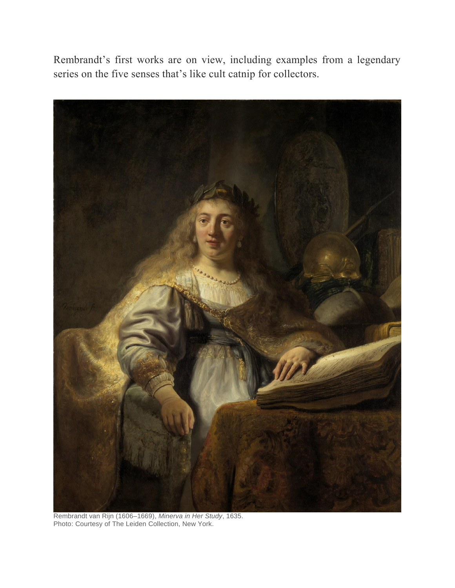Rembrandt's first works are on view, including examples from a legendary series on the five senses that's like cult catnip for collectors.

![](_page_4_Picture_1.jpeg)

Rembrandt van Rijn (1606–1669), *Minerva in Her Study*, 1635. Photo: Courtesy of The Leiden Collection, New York.